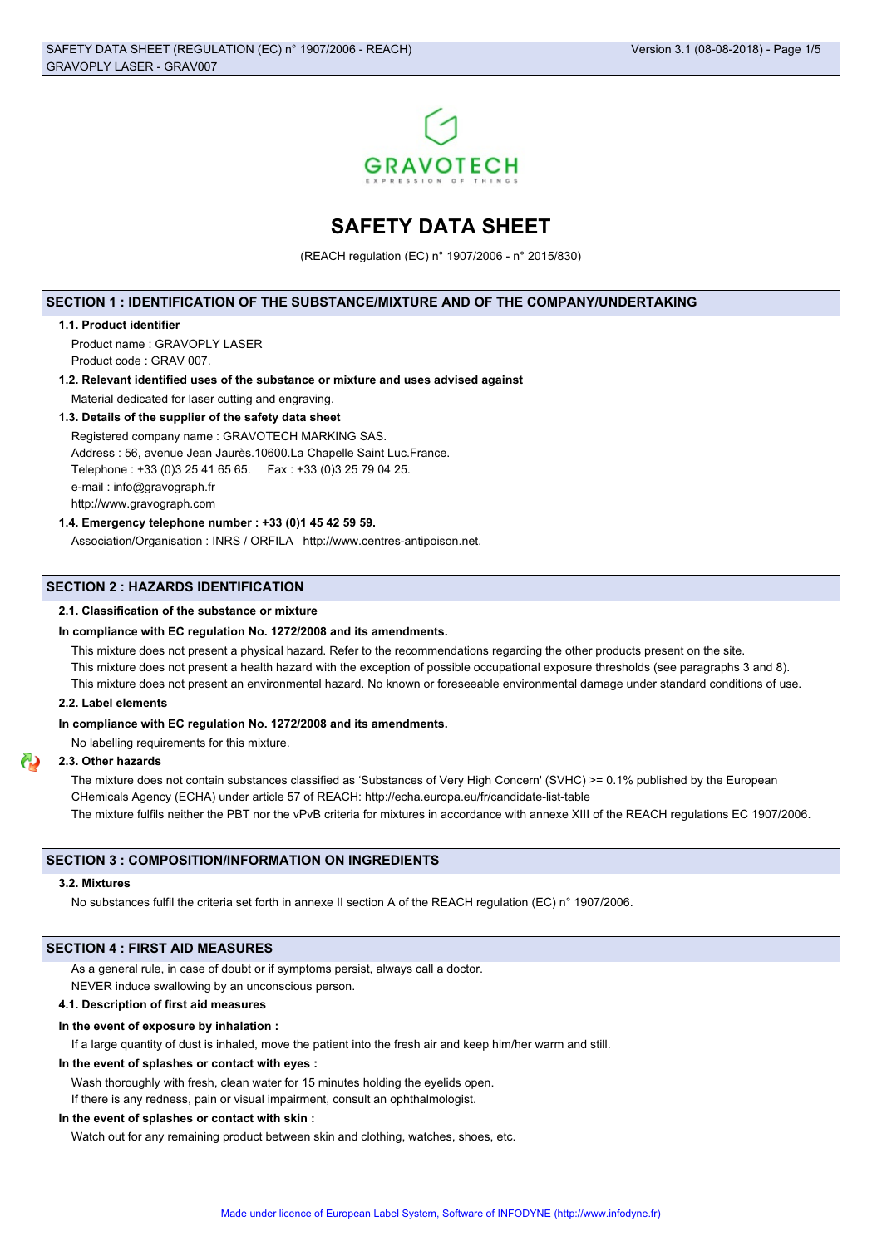

# **SAFETY DATA SHEET**

(REACH regulation (EC) n° 1907/2006 - n° 2015/830)

### **SECTION 1 : IDENTIFICATION OF THE SUBSTANCE/MIXTURE AND OF THE COMPANY/UNDERTAKING**

#### **1.1. Product identifier**

Product name : GRAVOPLY LASER Product code : GRAV 007.

# **1.2. Relevant identified uses of the substance or mixture and uses advised against**

Material dedicated for laser cutting and engraving.

# **1.3. Details of the supplier of the safety data sheet**

Registered company name : GRAVOTECH MARKING SAS. Address : 56, avenue Jean Jaurès.10600.La Chapelle Saint Luc.France. Telephone : +33 (0)3 25 41 65 65. Fax : +33 (0)3 25 79 04 25. e-mail : info@gravograph.fr http://www.gravograph.com

### **1.4. Emergency telephone number : +33 (0)1 45 42 59 59.**

Association/Organisation : INRS / ORFILA http://www.centres-antipoison.net.

### **SECTION 2 : HAZARDS IDENTIFICATION**

### **2.1. Classification of the substance or mixture**

### **In compliance with EC regulation No. 1272/2008 and its amendments.**

This mixture does not present a physical hazard. Refer to the recommendations regarding the other products present on the site. This mixture does not present a health hazard with the exception of possible occupational exposure thresholds (see paragraphs 3 and 8). This mixture does not present an environmental hazard. No known or foreseeable environmental damage under standard conditions of use.

### **2.2. Label elements**

### **In compliance with EC regulation No. 1272/2008 and its amendments.**

No labelling requirements for this mixture.

### **2.3. Other hazards**

The mixture does not contain substances classified as 'Substances of Very High Concern' (SVHC) >= 0.1% published by the European CHemicals Agency (ECHA) under article 57 of REACH: http://echa.europa.eu/fr/candidate-list-table The mixture fulfils neither the PBT nor the vPvB criteria for mixtures in accordance with annexe XIII of the REACH regulations EC 1907/2006.

### **SECTION 3 : COMPOSITION/INFORMATION ON INGREDIENTS**

#### **3.2. Mixtures**

No substances fulfil the criteria set forth in annexe II section A of the REACH regulation (EC) n° 1907/2006.

# **SECTION 4 : FIRST AID MEASURES**

As a general rule, in case of doubt or if symptoms persist, always call a doctor.

NEVER induce swallowing by an unconscious person.

# **4.1. Description of first aid measures**

# **In the event of exposure by inhalation :**

If a large quantity of dust is inhaled, move the patient into the fresh air and keep him/her warm and still.

# **In the event of splashes or contact with eyes :**

Wash thoroughly with fresh, clean water for 15 minutes holding the eyelids open.

If there is any redness, pain or visual impairment, consult an ophthalmologist.

# **In the event of splashes or contact with skin :**

Watch out for any remaining product between skin and clothing, watches, shoes, etc.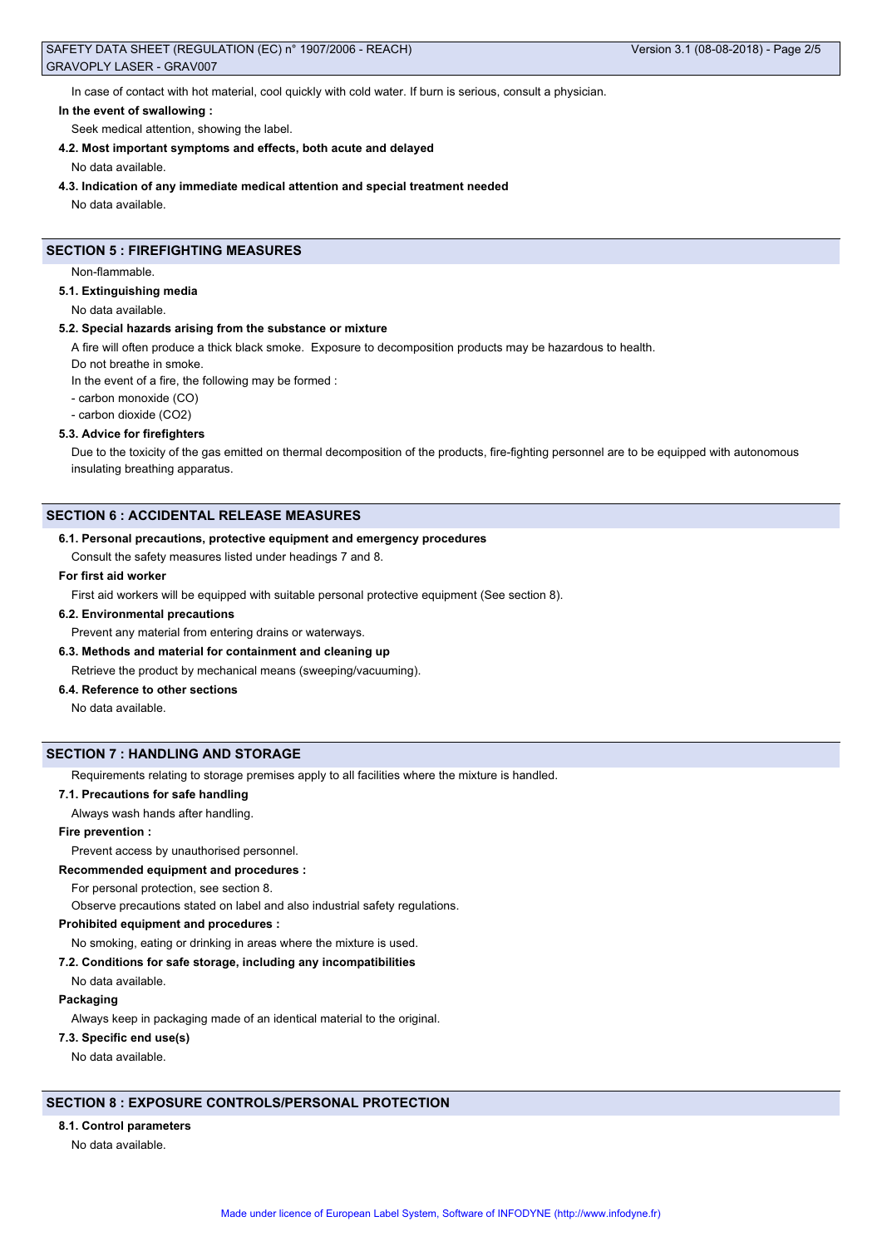### SAFETY DATA SHEET (REGULATION (EC) n° 1907/2006 - REACH) Version 3.1 (08-08-2018) - Page 2/5 GRAVOPLY LASER - GRAV007

In case of contact with hot material, cool quickly with cold water. If burn is serious, consult a physician.

### **In the event of swallowing :**

Seek medical attention, showing the label.

**4.2. Most important symptoms and effects, both acute and delayed**

No data available.

**4.3. Indication of any immediate medical attention and special treatment needed**

No data available.

# **SECTION 5 : FIREFIGHTING MEASURES**

Non-flammable.

#### **5.1. Extinguishing media**

No data available.

#### **5.2. Special hazards arising from the substance or mixture**

A fire will often produce a thick black smoke. Exposure to decomposition products may be hazardous to health.

Do not breathe in smoke.

In the event of a fire, the following may be formed :

- carbon monoxide (CO)
- carbon dioxide (CO2)

# **5.3. Advice for firefighters**

Due to the toxicity of the gas emitted on thermal decomposition of the products, fire-fighting personnel are to be equipped with autonomous insulating breathing apparatus.

# **SECTION 6 : ACCIDENTAL RELEASE MEASURES**

#### **6.1. Personal precautions, protective equipment and emergency procedures**

Consult the safety measures listed under headings 7 and 8.

### **For first aid worker**

First aid workers will be equipped with suitable personal protective equipment (See section 8).

### **6.2. Environmental precautions**

Prevent any material from entering drains or waterways.

# **6.3. Methods and material for containment and cleaning up**

Retrieve the product by mechanical means (sweeping/vacuuming).

# **6.4. Reference to other sections**

No data available.

# **SECTION 7 : HANDLING AND STORAGE**

Requirements relating to storage premises apply to all facilities where the mixture is handled.

#### **7.1. Precautions for safe handling**

Always wash hands after handling.

**Fire prevention :**

Prevent access by unauthorised personnel.

#### **Recommended equipment and procedures :**

For personal protection, see section 8.

Observe precautions stated on label and also industrial safety regulations.

### **Prohibited equipment and procedures :**

No smoking, eating or drinking in areas where the mixture is used.

#### **7.2. Conditions for safe storage, including any incompatibilities**

No data available.

### **Packaging**

Always keep in packaging made of an identical material to the original.

### **7.3. Specific end use(s)**

No data available.

# **SECTION 8 : EXPOSURE CONTROLS/PERSONAL PROTECTION**

# **8.1. Control parameters**

No data available.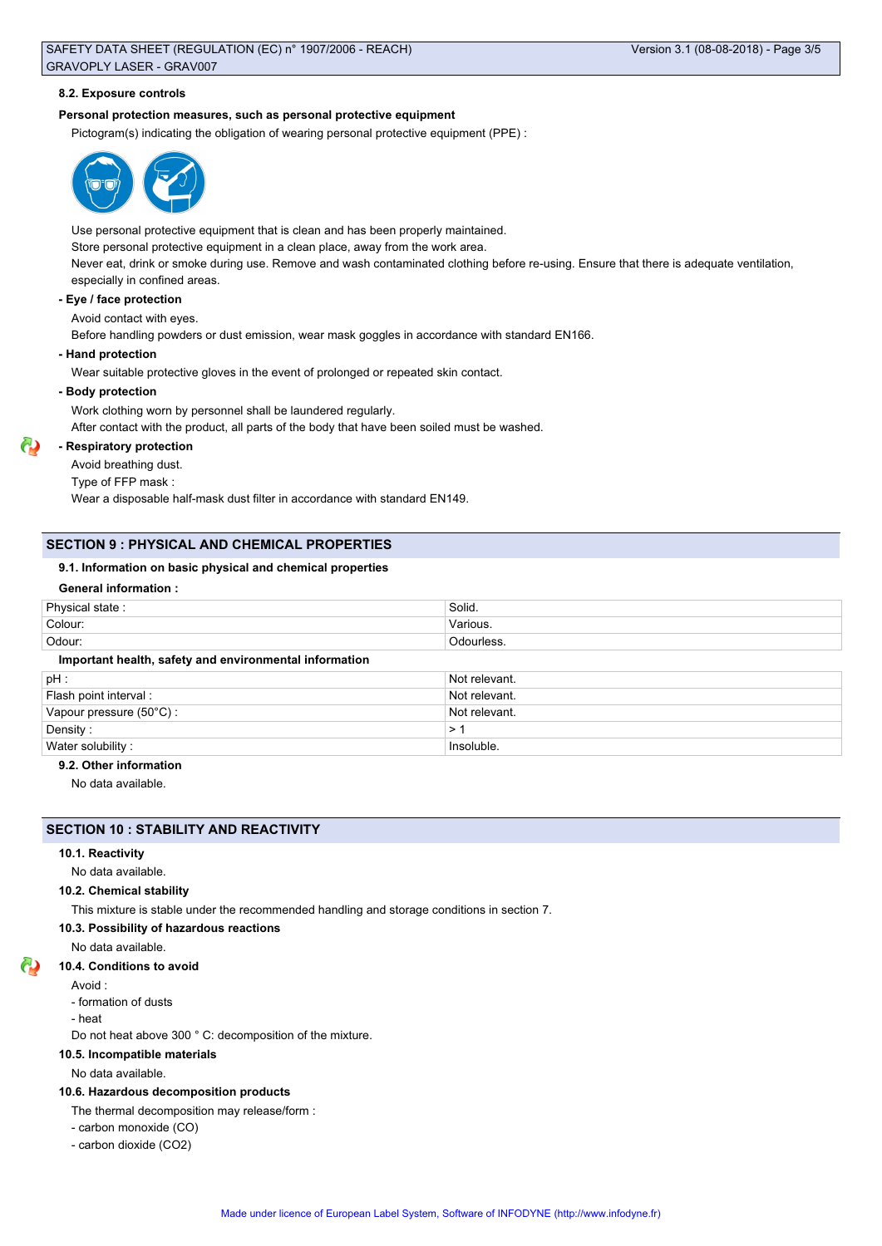### SAFETY DATA SHEET (REGULATION (EC) n° 1907/2006 - REACH) Version 3.1 (08-08-2018) - Page 3/5 GRAVOPLY LASER - GRAV007

#### **8.2. Exposure controls**

### **Personal protection measures, such as personal protective equipment**

Pictogram(s) indicating the obligation of wearing personal protective equipment (PPE) :



Use personal protective equipment that is clean and has been properly maintained. Store personal protective equipment in a clean place, away from the work area. Never eat, drink or smoke during use. Remove and wash contaminated clothing before re-using. Ensure that there is adequate ventilation, especially in confined areas. **- Eye / face protection**

Avoid contact with eyes.

Before handling powders or dust emission, wear mask goggles in accordance with standard EN166.

**- Hand protection**

Wear suitable protective gloves in the event of prolonged or repeated skin contact.

# **- Body protection**

Work clothing worn by personnel shall be laundered regularly.

After contact with the product, all parts of the body that have been soiled must be washed.

# **- Respiratory protection**

Avoid breathing dust.

Type of FFP mask :

Wear a disposable half-mask dust filter in accordance with standard EN149.

# **SECTION 9 : PHYSICAL AND CHEMICAL PROPERTIES**

# **9.1. Information on basic physical and chemical properties**

# **General information :**

| Physical state:                                        | Solid.        |
|--------------------------------------------------------|---------------|
| Colour:                                                | Various.      |
| Odour:                                                 | Odourless.    |
| Important health, safety and environmental information |               |
| pH:                                                    | Not relevant. |
| Flash point interval:                                  | Not relevant. |
| Vapour pressure (50°C):                                | Not relevant. |
| Density:                                               | >1            |
| Water solubility:                                      | Insoluble.    |

# **9.2. Other information**

No data available.

### **SECTION 10 : STABILITY AND REACTIVITY**

### **10.1. Reactivity**

No data available.

### **10.2. Chemical stability**

This mixture is stable under the recommended handling and storage conditions in section 7.

**10.3. Possibility of hazardous reactions**

No data available.

# **10.4. Conditions to avoid**

Avoid :

- formation of dusts
- heat
- 

Do not heat above 300 ° C: decomposition of the mixture.

### **10.5. Incompatible materials**

No data available.

# **10.6. Hazardous decomposition products**

The thermal decomposition may release/form :

- carbon monoxide (CO)
- carbon dioxide (CO2)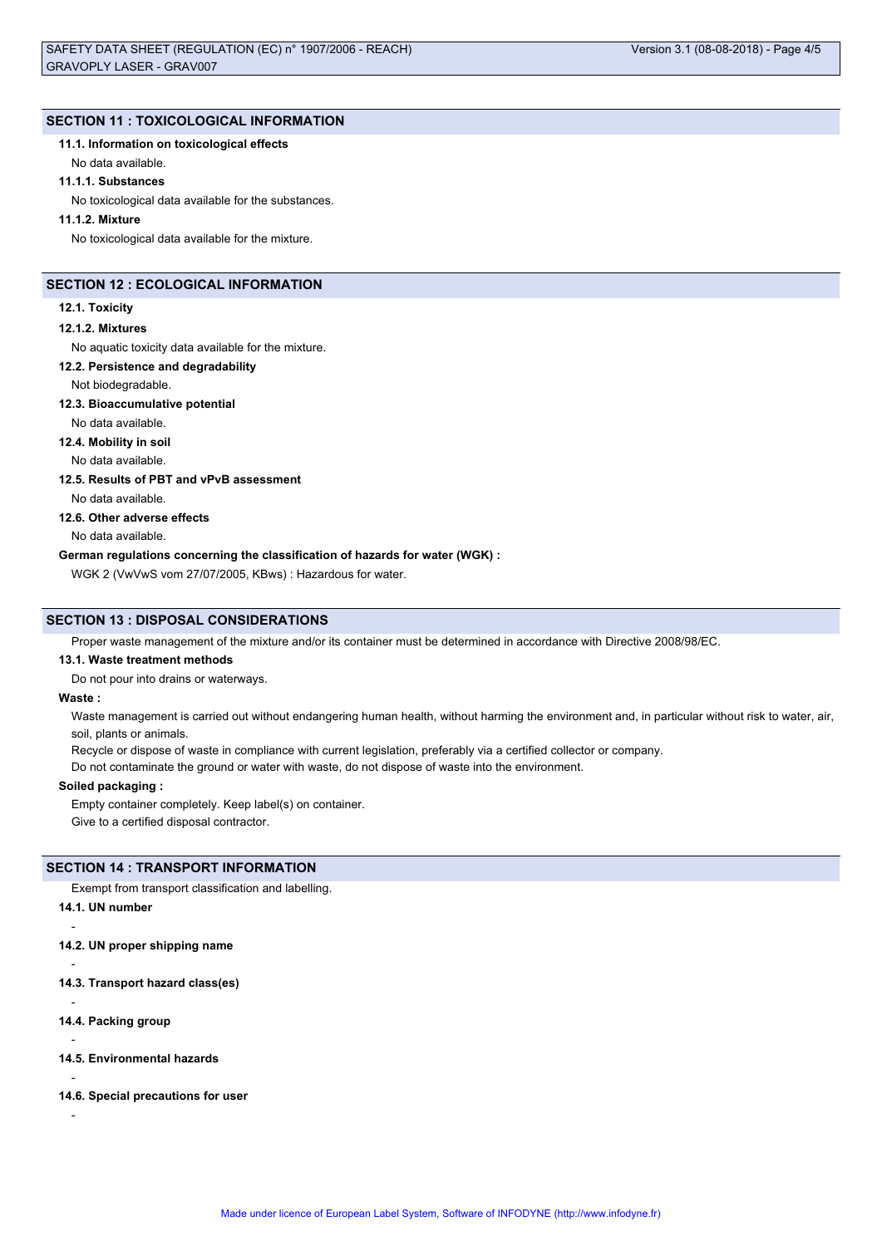### **SECTION 11 : TOXICOLOGICAL INFORMATION**

**11.1. Information on toxicological effects**

No data available.

#### **11.1.1. Substances**

No toxicological data available for the substances.

### **11.1.2. Mixture**

No toxicological data available for the mixture.

# **SECTION 12 : ECOLOGICAL INFORMATION**

#### **12.1. Toxicity**

#### **12.1.2. Mixtures**

No aquatic toxicity data available for the mixture.

### **12.2. Persistence and degradability**

#### Not biodegradable.

### **12.3. Bioaccumulative potential**

No data available.

### **12.4. Mobility in soil**

No data available.

# **12.5. Results of PBT and vPvB assessment**

No data available.

### **12.6. Other adverse effects**

No data available.

### **German regulations concerning the classification of hazards for water (WGK) :**

WGK 2 (VwVwS vom 27/07/2005, KBws) : Hazardous for water.

#### **SECTION 13 : DISPOSAL CONSIDERATIONS**

Proper waste management of the mixture and/or its container must be determined in accordance with Directive 2008/98/EC.

#### **13.1. Waste treatment methods**

Do not pour into drains or waterways.

#### **Waste :**

Waste management is carried out without endangering human health, without harming the environment and, in particular without risk to water, air, soil, plants or animals.

Recycle or dispose of waste in compliance with current legislation, preferably via a certified collector or company.

Do not contaminate the ground or water with waste, do not dispose of waste into the environment.

### **Soiled packaging :**

Empty container completely. Keep label(s) on container. Give to a certified disposal contractor.

#### **SECTION 14 : TRANSPORT INFORMATION**

Exempt from transport classification and labelling.

#### **14.1. UN number**

-

-

**14.2. UN proper shipping name**

**14.3. Transport hazard class(es)**

- **14.4. Packing group**
- -
- **14.5. Environmental hazards**
- -
- **14.6. Special precautions for user**
- -